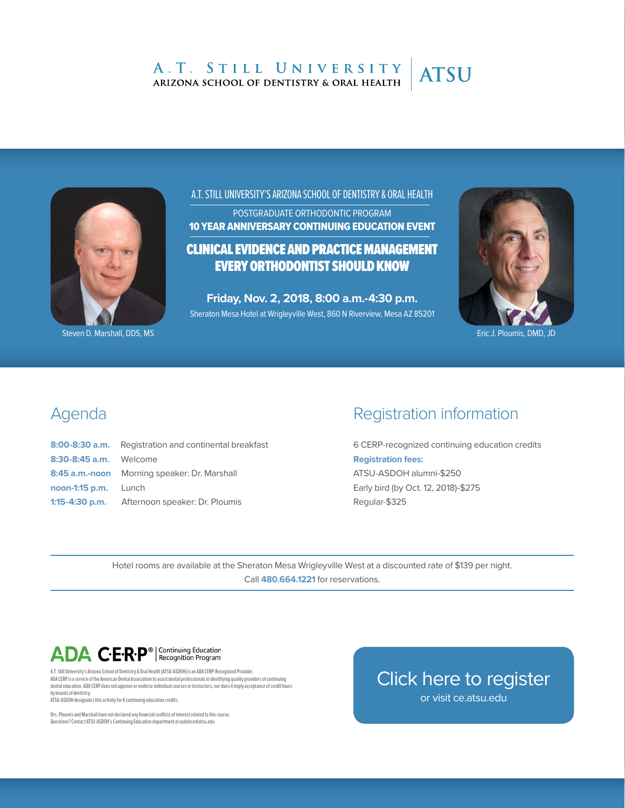#### A.T. STILL UNIVERSITY **ATSU** ARIZONA SCHOOL OF DENTISTRY & ORAL HEALTH



Steven D. Marshall, DDS, MS Eric J. Ploumis, DMD, JD Care and Steven D. Marshall, DDS, MS Eric J. Ploumis, DMD, JD

A.T. STILL UNIVERSITY'S ARIZONA SCHOOL OF DENTISTRY & ORAL HEALTH

POSTGRADUATE ORTHODONTIC PROGRAM 10 YEAR ANNIVERSARY CONTINUING EDUCATION EVENT

### CLINICAL EVIDENCE AND PRACTICE MANAGEMENT EVERY ORTHODONTIST SHOULD KNOW

**Friday, Nov. 2, 2018, 8:00 a.m.-4:30 p.m.**  Sheraton Mesa Hotel at Wrigleyville West, 860 N Riverview, Mesa AZ 85201



### Agenda

|                        | 8:00-8:30 a.m. Registration and continental breakfast |
|------------------------|-------------------------------------------------------|
| 8:30-8:45 a.m. Welcome |                                                       |
|                        | 8:45 a.m.-noon Morning speaker: Dr. Marshall          |
| noon-1:15 p.m. Lunch   |                                                       |
|                        | 1:15-4:30 p.m. Afternoon speaker: Dr. Ploumis         |

## Registration information

6 CERP-recognized continuing education credits **Registration fees:**  ATSU-ASDOH alumni-\$250 Early bird (by Oct. 12, 2018)-\$275 Regular-\$325

Hotel rooms are available at the Sheraton Mesa Wrigleyville West at a discounted rate of \$139 per night. Call **480.664.1221** for reservations.

# ADA C.E.R.P<sup>®</sup> | Continuing Education

A.T. Still University's Arizona School of Dentistry & Oral Health (ATSU-ASDOH) is an ADA CERP-Recognized Provider. ADA CERP is a service of the American Dental Association to assist dental professionals in identifying quality providers of continuing dental education. ADA CERP does not approve or endorse individual courses or instructors, nor does it imply acceptance of credit hours by boards of dentistry. ATSU-ASDOH designates this activity for 6 continuing education credits.

Drs. Ploumis and Marshall have not declared any financial conflicts of interest related to this course. Questions? Contact ATSU-ASDOH's Continuing Education department at asdohce@atsu.edu

[Click here to register](https://ce.atsu.edu/) or visit ce.atsu.edu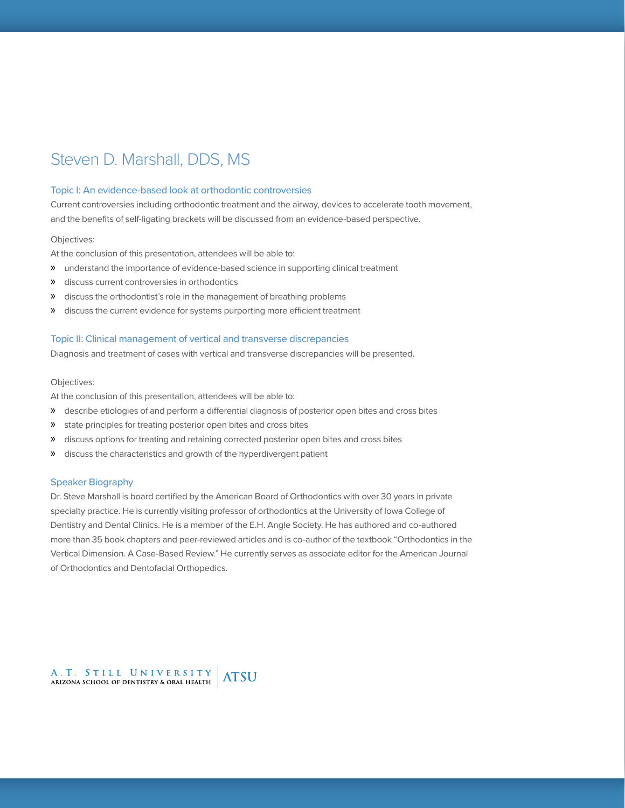## Steven D. Marshall, DDS, MS

#### Topic I: An evidence-based look at orthodontic controversies

Current controversies including orthodontic treatment and the airway, devices to accelerate tooth movement, and the benefits of self-ligating brackets will be discussed from an evidence-based perspective.

#### Objectives:

At the conclusion of this presentation, attendees will be able to:

- » understand the importance of evidence-based science in supporting clinical treatment
- » discuss current controversies in orthodontics
- » discuss the orthodontist's role in the management of breathing problems
- » discuss the current evidence for systems purporting more efficient treatment

#### Topic II: Clinical management of vertical and transverse discrepancies

Diagnosis and treatment of cases with vertical and transverse discrepancies will be presented.

#### Objectives:

At the conclusion of this presentation, attendees will be able to:

- » describe etiologies of and perform a differential diagnosis of posterior open bites and cross bites
- » state principles for treating posterior open bites and cross bites
- » discuss options for treating and retaining corrected posterior open bites and cross bites
- » discuss the characteristics and growth of the hyperdivergent patient

#### Speaker Biography

Dr. Steve Marshall is board certified by the American Board of Orthodontics with over 30 years in private specialty practice. He is currently visiting professor of orthodontics at the University of Iowa College of Dentistry and Dental Clinics. He is a member of the E.H. Angle Society. He has authored and co-authored more than 35 book chapters and peer-reviewed articles and is co-author of the textbook "Orthodontics in the Vertical Dimension. A Case-Based Review." He currently serves as associate editor for the American Journal of Orthodontics and Dentofacial Orthopedics.